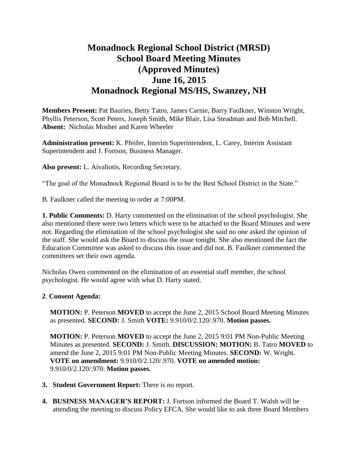# **Monadnock Regional School District (MRSD) School Board Meeting Minutes (Approved Minutes) June 16, 2015 Monadnock Regional MS/HS, Swanzey, NH**

**Members Present:** Pat Bauries, Betty Tatro, James Carnie, Barry Faulkner, Winston Wright, Phyllis Peterson, Scott Peters, Joseph Smith, Mike Blair, Lisa Steadman and Bob Mitchell. **Absent:** Nicholas Mosher and Karen Wheeler

**Administration present:** K. Pfeifer, Interim Superintendent, L. Carey, Interim Assistant Superintendent and J. Fortson, Business Manager.

**Also present:** L. Aivaliotis, Recording Secretary.

"The goal of the Monadnock Regional Board is to be the Best School District in the State."

B. Faulkner called the meeting to order at 7:00PM.

**1. Public Comments:** D. Harty commented on the elimination of the school psychologist. She also mentioned there were two letters which were to be attached to the Board Minutes and were not. Regarding the elimination of the school psychologist she said no one asked the opinion of the staff. She would ask the Board to discuss the issue tonight. She also mentioned the fact the Education Committee was asked to discuss this issue and did not. B. Faulkner commented the committees set their own agenda.

Nicholas Owen commented on the elimination of an essential staff member, the school psychologist. He would agree with what D. Harty stated.

#### **2**. **Consent Agenda:**

**MOTION:** P. Peterson **MOVED** to accept the June 2, 2015 School Board Meeting Minutes as presented. **SECOND:** J. Smith **VOTE:** 9.910/0/2.120/.970. **Motion passes.** 

**MOTION:** P. Peterson **MOVED** to accept the June 2, 2015 9:01 PM Non-Public Meeting Minutes as presented. **SECOND:** J. Smith. **DISCUSSION: MOTION:** B. Tatro **MOVED** to amend the June 2, 2015 9:01 PM Non-Public Meeting Minutes. **SECOND:** W. Wright. **VOTE on amendment:** 9.910/0/2.120/.970. **VOTE on amended motion:** 9.910/0/2.120/.970. **Motion passes.** 

- **3. Student Government Report:** There is no report.
- **4. BUSINESS MANAGER'S REPORT:** J. Fortson informed the Board T. Walsh will be attending the meeting to discuss Policy EFCA. She would like to ask three Board Members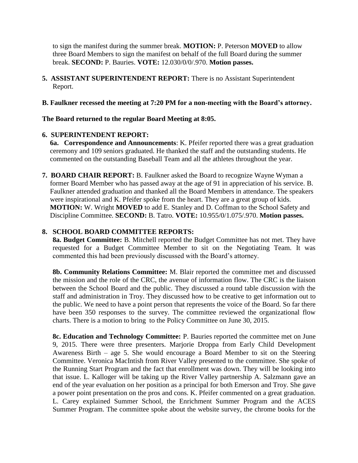to sign the manifest during the summer break. **MOTION:** P. Peterson **MOVED** to allow three Board Members to sign the manifest on behalf of the full Board during the summer break. **SECOND:** P. Bauries. **VOTE:** 12.030/0/0/.970. **Motion passes.** 

**5. ASSISTANT SUPERINTENDENT REPORT:** There is no Assistant Superintendent Report.

## **B. Faulkner recessed the meeting at 7:20 PM for a non-meeting with the Board's attorney.**

## **The Board returned to the regular Board Meeting at 8:05.**

## **6. SUPERINTENDENT REPORT:**

**6a. Correspondence and Announcements**: K. Pfeifer reported there was a great graduation ceremony and 109 seniors graduated. He thanked the staff and the outstanding students. He commented on the outstanding Baseball Team and all the athletes throughout the year.

**7. BOARD CHAIR REPORT:** B. Faulkner asked the Board to recognize Wayne Wyman a former Board Member who has passed away at the age of 91 in appreciation of his service. B. Faulkner attended graduation and thanked all the Board Members in attendance. The speakers were inspirational and K. Pfeifer spoke from the heart. They are a great group of kids. **MOTION:** W. Wright **MOVED** to add E. Stanley and D. Coffman to the School Safety and Discipline Committee. **SECOND:** B. Tatro. **VOTE:** 10.955/0/1.075/.970. **Motion passes.** 

## **8. SCHOOL BOARD COMMITTEE REPORTS:**

**8a. Budget Committee:** B. Mitchell reported the Budget Committee has not met. They have requested for a Budget Committee Member to sit on the Negotiating Team. It was commented this had been previously discussed with the Board's attorney.

**8b. Community Relations Committee:** M. Blair reported the committee met and discussed the mission and the role of the CRC, the avenue of information flow. The CRC is the liaison between the School Board and the public. They discussed a round table discussion with the staff and administration in Troy. They discussed how to be creative to get information out to the public. We need to have a point person that represents the voice of the Board. So far there have been 350 responses to the survey. The committee reviewed the organizational flow charts. There is a motion to bring to the Policy Committee on June 30, 2015.

 **8c. Education and Technology Committee:** P. Bauries reported the committee met on June 9, 2015. There were three presenters. Marjorie Droppa from Early Child Development Awareness Birth – age 5. She would encourage a Board Member to sit on the Steering Committee. Veronica MacIntish from River Valley presented to the committee. She spoke of the Running Start Program and the fact that enrollment was down. They will be looking into that issue. L. Kalloger will be taking up the River Valley partnership A. Salzmann gave an end of the year evaluation on her position as a principal for both Emerson and Troy. She gave a power point presentation on the pros and cons. K. Pfeifer commented on a great graduation. L. Carey explained Summer School, the Enrichment Summer Program and the ACES Summer Program. The committee spoke about the website survey, the chrome books for the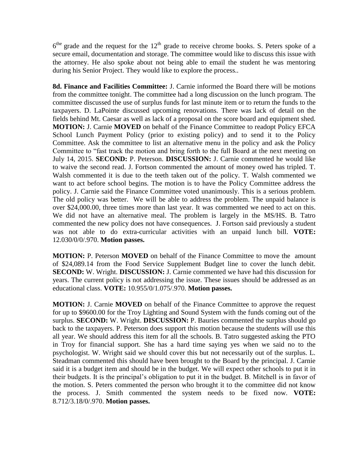$6<sup>the</sup>$  grade and the request for the  $12<sup>th</sup>$  grade to receive chrome books. S. Peters spoke of a secure email, documentation and storage. The committee would like to discuss this issue with the attorney. He also spoke about not being able to email the student he was mentoring during his Senior Project. They would like to explore the process..

 **8d. Finance and Facilities Committee:** J. Carnie informed the Board there will be motions from the committee tonight. The committee had a long discussion on the lunch program. The committee discussed the use of surplus funds for last minute item or to return the funds to the taxpayers. D. LaPointe discussed upcoming renovations. There was lack of detail on the fields behind Mt. Caesar as well as lack of a proposal on the score board and equipment shed. **MOTION:** J. Carnie **MOVED** on behalf of the Finance Committee to readopt Policy EFCA School Lunch Payment Policy (prior to existing policy) and to send it to the Policy Committee. Ask the committee to list an alternative menu in the policy and ask the Policy Committee to "fast track the motion and bring forth to the full Board at the next meeting on July 14, 2015. **SECOND:** P. Peterson. **DISCUSSION:** J. Carnie commented he would like to waive the second read. J. Fortson commented the amount of money owed has tripled. T. Walsh commented it is due to the teeth taken out of the policy. T. Walsh commented we want to act before school begins. The motion is to have the Policy Committee address the policy. J. Carnie said the Finance Committee voted unanimously. This is a serious problem. The old policy was better. We will be able to address the problem. The unpaid balance is over \$24,000.00, three times more than last year. It was commented we need to act on this. We did not have an alternative meal. The problem is largely in the MS/HS. B. Tatro commented the new policy does not have consequences. J. Fortson said previously a student was not able to do extra-curricular activities with an unpaid lunch bill. **VOTE:**  12.030/0/0/.970. **Motion passes.** 

**MOTION:** P. Peterson **MOVED** on behalf of the Finance Committee to move the amount of \$24,089.14 from the Food Service Supplement Budget line to cover the lunch debit. **SECOND:** W. Wright. **DISCUSSION:** J. Carnie commented we have had this discussion for years. The current policy is not addressing the issue. These issues should be addressed as an educational class. **VOTE:** 10.955/0/1.075/.970. **Motion passes.** 

**MOTION:** J. Carnie **MOVED** on behalf of the Finance Committee to approve the request for up to \$9600.00 for the Troy Lighting and Sound System with the funds coming out of the surplus. **SECOND:** W. Wright. **DISCUSSION:** P. Bauries commented the surplus should go back to the taxpayers. P. Peterson does support this motion because the students will use this all year. We should address this item for all the schools. B. Tatro suggested asking the PTO in Troy for financial support. She has a hard time saying yes when we said no to the psychologist. W. Wright said we should cover this but not necessarily out of the surplus. L. Steadman commented this should have been brought to the Board by the principal. J. Carnie said it is a budget item and should be in the budget. We will expect other schools to put it in their budgets. It is the principal's obligation to put it in the budget. B. Mitchell is in favor of the motion. S. Peters commented the person who brought it to the committee did not know the process. J. Smith commented the system needs to be fixed now. **VOTE:**  8.712/3.18/0/.970. **Motion passes.**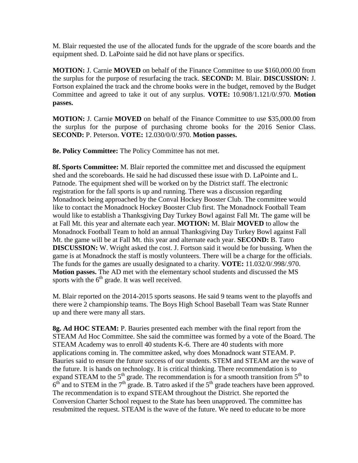M. Blair requested the use of the allocated funds for the upgrade of the score boards and the equipment shed. D. LaPointe said he did not have plans or specifics.

**MOTION:** J. Carnie **MOVED** on behalf of the Finance Committee to use \$160,000.00 from the surplus for the purpose of resurfacing the track. **SECOND:** M. Blair. **DISCUSSION:** J. Fortson explained the track and the chrome books were in the budget, removed by the Budget Committee and agreed to take it out of any surplus. **VOTE:** 10.908/1.121/0/.970. **Motion passes.** 

**MOTION:** J. Carnie **MOVED** on behalf of the Finance Committee to use \$35,000.00 from the surplus for the purpose of purchasing chrome books for the 2016 Senior Class. **SECOND:** P. Peterson. **VOTE:** 12.030/0/0/.970. **Motion passes.** 

**8e. Policy Committee:** The Policy Committee has not met.

 **8f. Sports Committee:** M. Blair reported the committee met and discussed the equipment shed and the scoreboards. He said he had discussed these issue with D. LaPointe and L. Patnode. The equipment shed will be worked on by the District staff. The electronic registration for the fall sports is up and running. There was a discussion regarding Monadnock being approached by the Conval Hockey Booster Club. The committee would like to contact the Monadnock Hockey Booster Club first. The Monadnock Football Team would like to establish a Thanksgiving Day Turkey Bowl against Fall Mt. The game will be at Fall Mt. this year and alternate each year. **MOTION:** M. Blair **MOVED** to allow the Monadnock Football Team to hold an annual Thanksgiving Day Turkey Bowl against Fall Mt. the game will be at Fall Mt. this year and alternate each year. **SECOND:** B. Tatro **DISCUSSION:** W. Wright asked the cost. J. Fortson said it would be for bussing. When the game is at Monadnock the staff is mostly volunteers. There will be a charge for the officials. The funds for the games are usually designated to a charity. **VOTE:** 11.032/0/.998/.970. **Motion passes.** The AD met with the elementary school students and discussed the MS sports with the  $6<sup>th</sup>$  grade. It was well received.

M. Blair reported on the 2014-2015 sports seasons. He said 9 teams went to the playoffs and there were 2 championship teams. The Boys High School Baseball Team was State Runner up and there were many all stars.

**8g. Ad HOC STEAM:** P. Bauries presented each member with the final report from the STEAM Ad Hoc Committee. She said the committee was formed by a vote of the Board. The STEAM Academy was to enroll 40 students K-6. There are 40 students with more applications coming in. The committee asked, why does Monadnock want STEAM. P. Bauries said to ensure the future success of our students. STEM and STEAM are the wave of the future. It is hands on technology. It is critical thinking. There recommendation is to expand STEAM to the  $5<sup>th</sup>$  grade. The recommendation is for a smooth transition from  $5<sup>th</sup>$  to  $6<sup>th</sup>$  and to STEM in the  $7<sup>th</sup>$  grade. B. Tatro asked if the  $5<sup>th</sup>$  grade teachers have been approved. The recommendation is to expand STEAM throughout the District. She reported the Conversion Charter School request to the State has been unapproved. The committee has resubmitted the request. STEAM is the wave of the future. We need to educate to be more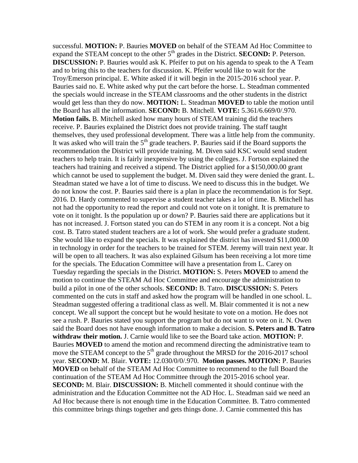successful. **MOTION:** P. Bauries **MOVED** on behalf of the STEAM Ad Hoc Committee to expand the STEAM concept to the other 5<sup>th</sup> grades in the District. **SECOND:** P. Peterson. **DISCUSSION:** P. Bauries would ask K. Pfeifer to put on his agenda to speak to the A Team and to bring this to the teachers for discussion. K. Pfeifer would like to wait for the Troy/Emerson principal. E. White asked if it will begin in the 2015-2016 school year. P. Bauries said no. E. White asked why put the cart before the horse. L. Steadman commented the specials would increase in the STEAM classrooms and the other students in the district would get less than they do now. **MOTION:** L. Steadman **MOVED** to table the motion until the Board has all the information. **SECOND:** B. Mitchell. **VOTE:** 5.361/6.669/0/.970. **Motion fails.** B. Mitchell asked how many hours of STEAM training did the teachers receive. P. Bauries explained the District does not provide training. The staff taught themselves, they used professional development. There was a little help from the community. It was asked who will train the  $5<sup>th</sup>$  grade teachers. P. Bauries said if the Board supports the recommendation the District will provide training. M. Diven said KSC would send student teachers to help train. It is fairly inexpensive by using the colleges. J. Fortson explained the teachers had training and received a stipend. The District applied for a \$150,000.00 grant which cannot be used to supplement the budget. M. Diven said they were denied the grant. L. Steadman stated we have a lot of time to discuss. We need to discuss this in the budget. We do not know the cost. P. Bauries said there is a plan in place the recommendation is for Sept. 2016. D. Hardy commented to supervise a student teacher takes a lot of time. B. Mitchell has not had the opportunity to read the report and could not vote on it tonight. It is premature to vote on it tonight. Is the population up or down? P. Bauries said there are applications but it has not increased. J. Fortson stated you can do STEM in any room it is a concept. Not a big cost. B. Tatro stated student teachers are a lot of work. She would prefer a graduate student. She would like to expand the specials. It was explained the district has invested \$11,000.00 in technology in order for the teachers to be trained for STEM. Jeremy will train next year. It will be open to all teachers. It was also explained Gilsum has been receiving a lot more time for the specials. The Education Committee will have a presentation from L. Carey on Tuesday regarding the specials in the District. **MOTION:** S. Peters **MOVED** to amend the motion to continue the STEAM Ad Hoc Committee and encourage the administration to build a pilot in one of the other schools. **SECOND:** B. Tatro. **DISCUSSION:** S. Peters commented on the cuts in staff and asked how the program will be handled in one school. L. Steadman suggested offering a traditional class as well. M. Blair commented it is not a new concept. We all support the concept but he would hesitate to vote on a motion. He does not see a rush. P. Bauries stated you support the program but do not want to vote on it. N. Owen said the Board does not have enough information to make a decision. **S. Peters and B. Tatro withdraw their motion.** J. Carnie would like to see the Board take action. **MOTION:** P. Bauries **MOVED** to amend the motion and recommend directing the administrative team to move the STEAM concept to the  $5<sup>th</sup>$  grade throughout the MRSD for the 2016-2017 school year. **SECOND:** M. Blair. **VOTE:** 12.030/0/0/.970. **Motion passes. MOTION:** P. Bauries **MOVED** on behalf of the STEAM Ad Hoc Committee to recommend to the full Board the continuation of the STEAM Ad Hoc Committee through the 2015-2016 school year. **SECOND:** M. Blair. **DISCUSSION:** B. Mitchell commented it should continue with the administration and the Education Committee not the AD Hoc. L. Steadman said we need an Ad Hoc because there is not enough time in the Education Committee. B. Tatro commented this committee brings things together and gets things done. J. Carnie commented this has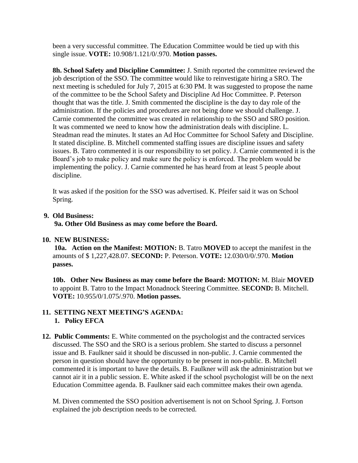been a very successful committee. The Education Committee would be tied up with this single issue. **VOTE:** 10.908/1.121/0/.970. **Motion passes.** 

**8h. School Safety and Discipline Committee:** J. Smith reported the committee reviewed the job description of the SSO. The committee would like to reinvestigate hiring a SRO. The next meeting is scheduled for July 7, 2015 at 6:30 PM. It was suggested to propose the name of the committee to be the School Safety and Discipline Ad Hoc Committee. P. Peterson thought that was the title. J. Smith commented the discipline is the day to day role of the administration. If the policies and procedures are not being done we should challenge. J. Carnie commented the committee was created in relationship to the SSO and SRO position. It was commented we need to know how the administration deals with discipline. L. Steadman read the minutes. It states an Ad Hoc Committee for School Safety and Discipline. It stated discipline. B. Mitchell commented staffing issues are discipline issues and safety issues. B. Tatro commented it is our responsibility to set policy. J. Carnie commented it is the Board's job to make policy and make sure the policy is enforced. The problem would be implementing the policy. J. Carnie commented he has heard from at least 5 people about discipline.

It was asked if the position for the SSO was advertised. K. Pfeifer said it was on School Spring.

## **9. Old Business:**

 **9a. Other Old Business as may come before the Board.** 

## **10. NEW BUSINESS:**

**10a. Action on the Manifest: MOTION:** B. Tatro **MOVED** to accept the manifest in the amounts of \$ 1,227,428.07. **SECOND:** P. Peterson. **VOTE:** 12.030/0/0/.970. **Motion passes.** 

**10b. Other New Business as may come before the Board: MOTION:** M. Blair **MOVED**  to appoint B. Tatro to the Impact Monadnock Steering Committee. **SECOND:** B. Mitchell. **VOTE:** 10.955/0/1.075/.970. **Motion passes.** 

## **11. SETTING NEXT MEETING'S AGENDA: 1. Policy EFCA**

**12. Public Comments:** E. White commented on the psychologist and the contracted services discussed. The SSO and the SRO is a serious problem. She started to discuss a personnel issue and B. Faulkner said it should be discussed in non-public. J. Carnie commented the person in question should have the opportunity to be present in non-public. B. Mitchell commented it is important to have the details. B. Faulkner will ask the administration but we cannot air it in a public session. E. White asked if the school psychologist will be on the next Education Committee agenda. B. Faulkner said each committee makes their own agenda.

M. Diven commented the SSO position advertisement is not on School Spring. J. Fortson explained the job description needs to be corrected.